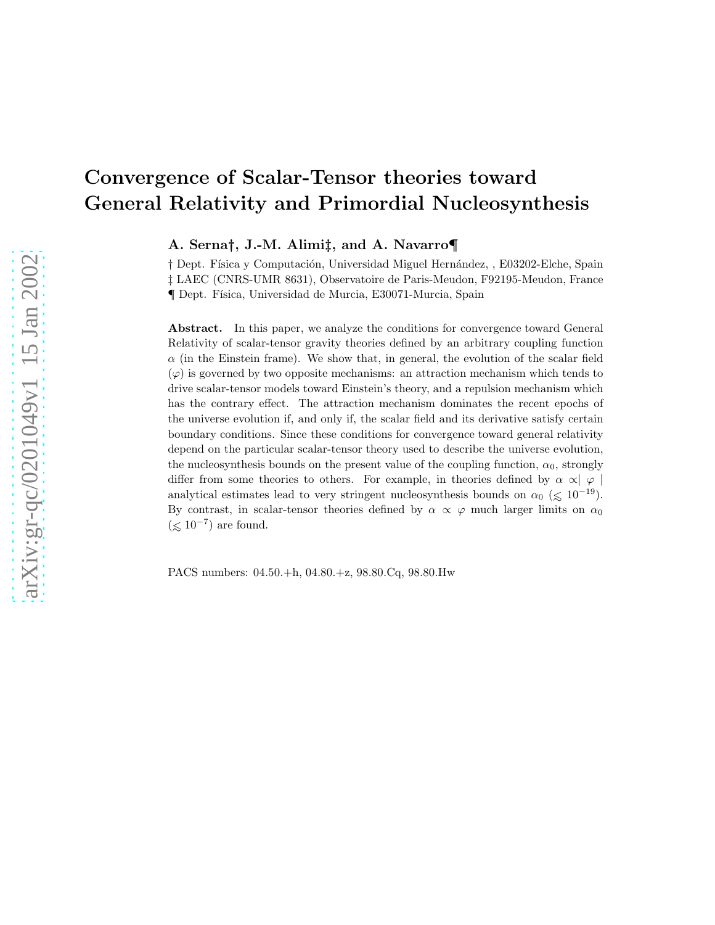# Convergence of Scalar-Tensor theories toward General Relativity and Primordial Nucleosynthesis

A. Serna†, J.-M. Alimi‡, and A. Navarro¶

 $\dagger$  Dept. Física y Computación, Universidad Miguel Hernández, , E03202-Elche, Spain ‡ LAEC (CNRS-UMR 8631), Observatoire de Paris-Meudon, F92195-Meudon, France ¶ Dept. F´ısica, Universidad de Murcia, E30071-Murcia, Spain

Abstract. In this paper, we analyze the conditions for convergence toward General Relativity of scalar-tensor gravity theories defined by an arbitrary coupling function  $\alpha$  (in the Einstein frame). We show that, in general, the evolution of the scalar field  $(\varphi)$  is governed by two opposite mechanisms: an attraction mechanism which tends to drive scalar-tensor models toward Einstein's theory, and a repulsion mechanism which has the contrary effect. The attraction mechanism dominates the recent epochs of the universe evolution if, and only if, the scalar field and its derivative satisfy certain boundary conditions. Since these conditions for convergence toward general relativity depend on the particular scalar-tensor theory used to describe the universe evolution, the nucleosynthesis bounds on the present value of the coupling function,  $\alpha_0$ , strongly differ from some theories to others. For example, in theories defined by  $\alpha \propto |\varphi|$ analytical estimates lead to very stringent nucleosynthesis bounds on  $\alpha_0 \leq 10^{-19}$ ). By contrast, in scalar-tensor theories defined by  $\alpha \propto \varphi$  much larger limits on  $\alpha_0$  $(\lesssim 10^{-7})$  are found.

PACS numbers: 04.50.+h, 04.80.+z, 98.80.Cq, 98.80.Hw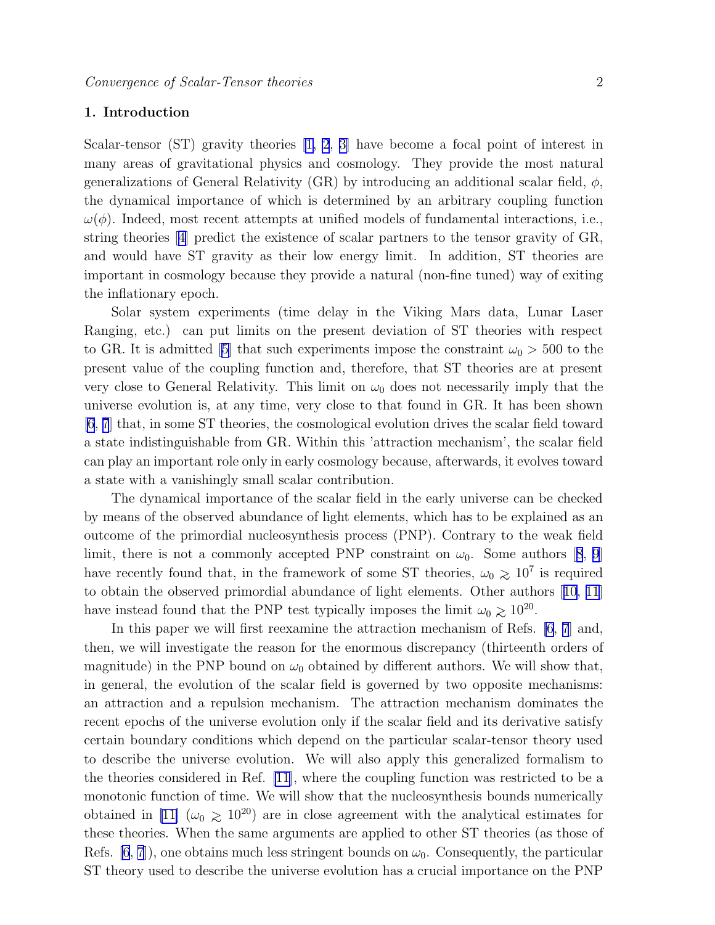### 1. Introduction

Scalar-tensor (ST) gravity theories [\[1, 2](#page-19-0), [3\]](#page-19-0) have become a focal point of interest in many areas of gravitational physics and cosmology. They provide the most natural generalizations of General Relativity (GR) by introducing an additional scalar field,  $\phi$ , the dynamical importance of which is determined by an arbitrary coupling function  $\omega(\phi)$ . Indeed, most recent attempts at unified models of fundamental interactions, i.e., string theories[[4\]](#page-19-0) predict the existence of scalar partners to the tensor gravity of GR, and would have ST gravity as their low energy limit. In addition, ST theories are important in cosmology because they provide a natural (non-fine tuned) way of exiting the inflationary epoch.

Solar system experiments (time delay in the Viking Mars data, Lunar Laser Ranging, etc.) can put limits on the present deviation of ST theories with respect toGR. It is admitted [[5\]](#page-19-0) that such experiments impose the constraint  $\omega_0 > 500$  to the present value of the coupling function and, therefore, that ST theories are at present very close to General Relativity. This limit on  $\omega_0$  does not necessarily imply that the universe evolution is, at any time, very close to that found in GR. It has been shown [\[6](#page-19-0), [7](#page-19-0)] that, in some ST theories, the cosmological evolution drives the scalar field toward a state indistinguishable from GR. Within this 'attraction mechanism', the scalar field can play an important role only in early cosmology because, afterwards, it evolves toward a state with a vanishingly small scalar contribution.

The dynamical importance of the scalar field in the early universe can be checked by means of the observed abundance of light elements, which has to be explained as an outcome of the primordial nucleosynthesis process (PNP). Contrary to the weak field limit,there is not a commonly accepted PNP constraint on  $\omega_0$ . Some authors [[8](#page-19-0), [9](#page-19-0)] have recently found that, in the framework of some ST theories,  $\omega_0 \geq 10^7$  is required to obtain the observed primordial abundance of light elements. Other authors[[10](#page-19-0), [11](#page-19-0)] have instead found that the PNP test typically imposes the limit  $\omega_0 \gtrsim 10^{20}$ .

In this paper we will first reexamine the attraction mechanism of Refs. [\[6](#page-19-0), [7](#page-19-0)] and, then, we will investigate the reason for the enormous discrepancy (thirteenth orders of magnitude) in the PNP bound on  $\omega_0$  obtained by different authors. We will show that, in general, the evolution of the scalar field is governed by two opposite mechanisms: an attraction and a repulsion mechanism. The attraction mechanism dominates the recent epochs of the universe evolution only if the scalar field and its derivative satisfy certain boundary conditions which depend on the particular scalar-tensor theory used to describe the universe evolution. We will also apply this generalized formalism to the theories considered in Ref. [\[11](#page-19-0)], where the coupling function was restricted to be a monotonic function of time. We will show that the nucleosynthesis bounds numerically obtained in [\[11\]](#page-19-0) ( $\omega_0 \ge 10^{20}$ ) are in close agreement with the analytical estimates for these theories. When the same arguments are applied to other ST theories (as those of Refs. [\[6](#page-19-0), [7](#page-19-0)]), one obtains much less stringent bounds on  $\omega_0$ . Consequently, the particular ST theory used to describe the universe evolution has a crucial importance on the PNP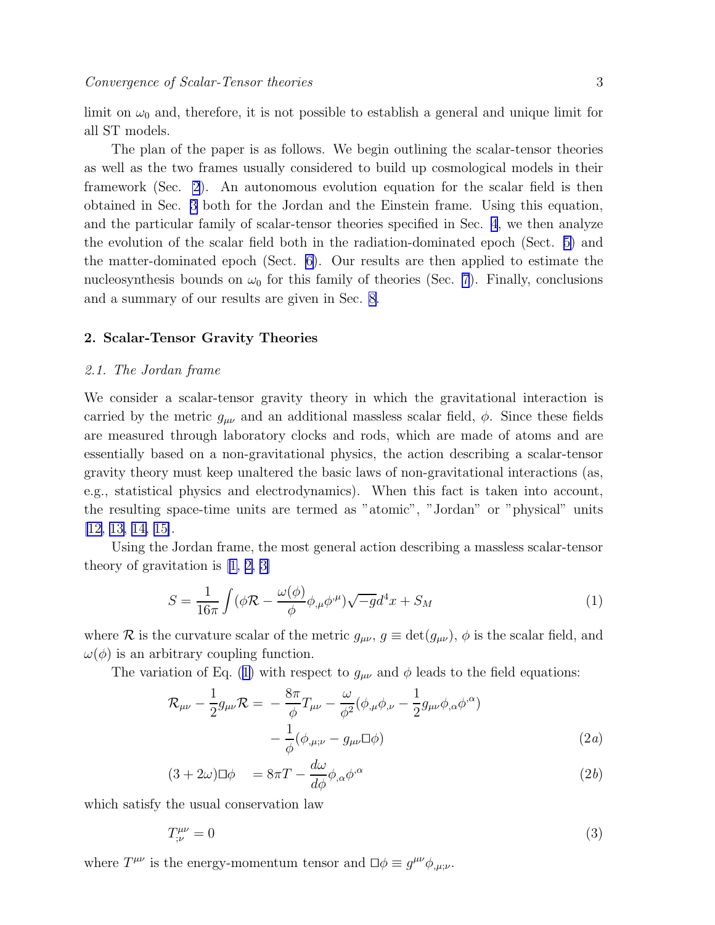<span id="page-2-0"></span>limit on  $\omega_0$  and, therefore, it is not possible to establish a general and unique limit for all ST models.

The plan of the paper is as follows. We begin outlining the scalar-tensor theories as well as the two frames usually considered to build up cosmological models in their framework (Sec. 2). An autonomous evolution equation for the scalar field is then obtained in Sec. [3](#page-4-0) both for the Jordan and the Einstein frame. Using this equation, and the particular family of scalar-tensor theories specified in Sec. [4](#page-6-0), we then analyze the evolution of the scalar field both in the radiation-dominated epoch (Sect. [5\)](#page-7-0) and the matter-dominated epoch (Sect. [6](#page-7-0)). Our results are then applied to estimate the nucleosynthesis bounds on  $\omega_0$  for this family of theories (Sec. [7](#page-14-0)). Finally, conclusions and a summary of our results are given in Sec. [8.](#page-17-0)

### 2. Scalar-Tensor Gravity Theories

### 2.1. The Jordan frame

We consider a scalar-tensor gravity theory in which the gravitational interaction is carried by the metric  $g_{\mu\nu}$  and an additional massless scalar field,  $\phi$ . Since these fields are measured through laboratory clocks and rods, which are made of atoms and are essentially based on a non-gravitational physics, the action describing a scalar-tensor gravity theory must keep unaltered the basic laws of non-gravitational interactions (as, e.g., statistical physics and electrodynamics). When this fact is taken into account, the resulting space-time units are termed as "atomic", "Jordan" or "physical" units [\[12, 13, 14, 15\]](#page-19-0).

Using the Jordan frame, the most general action describing a massless scalar-tensor theory of gravitation is[[1, 2, 3\]](#page-19-0)

$$
S = \frac{1}{16\pi} \int (\phi \mathcal{R} - \frac{\omega(\phi)}{\phi} \phi_{,\mu} \phi^{,\mu}) \sqrt{-g} d^4 x + S_M \tag{1}
$$

where R is the curvature scalar of the metric  $g_{\mu\nu}$ ,  $g \equiv \det(g_{\mu\nu})$ ,  $\phi$  is the scalar field, and  $\omega(\phi)$  is an arbitrary coupling function.

The variation of Eq. (1) with respect to  $g_{\mu\nu}$  and  $\phi$  leads to the field equations:

$$
\mathcal{R}_{\mu\nu} - \frac{1}{2} g_{\mu\nu} \mathcal{R} = -\frac{8\pi}{\phi} T_{\mu\nu} - \frac{\omega}{\phi^2} (\phi_{,\mu} \phi_{,\nu} - \frac{1}{2} g_{\mu\nu} \phi_{,\alpha} \phi^{,\alpha}) - \frac{1}{\phi} (\phi_{,\mu;\nu} - g_{\mu\nu} \Box \phi)
$$
\n(2*a*)

$$
(3+2\omega)\Box\phi = 8\pi T - \frac{d\omega}{d\phi}\phi_{,\alpha}\phi^{,\alpha} \tag{2b}
$$

which satisfy the usual conservation law

$$
T^{\mu\nu}_{;\nu} = 0 \tag{3}
$$

where  $T^{\mu\nu}$  is the energy-momentum tensor and  $\square \phi \equiv g^{\mu\nu} \phi_{,\mu;\nu}$ .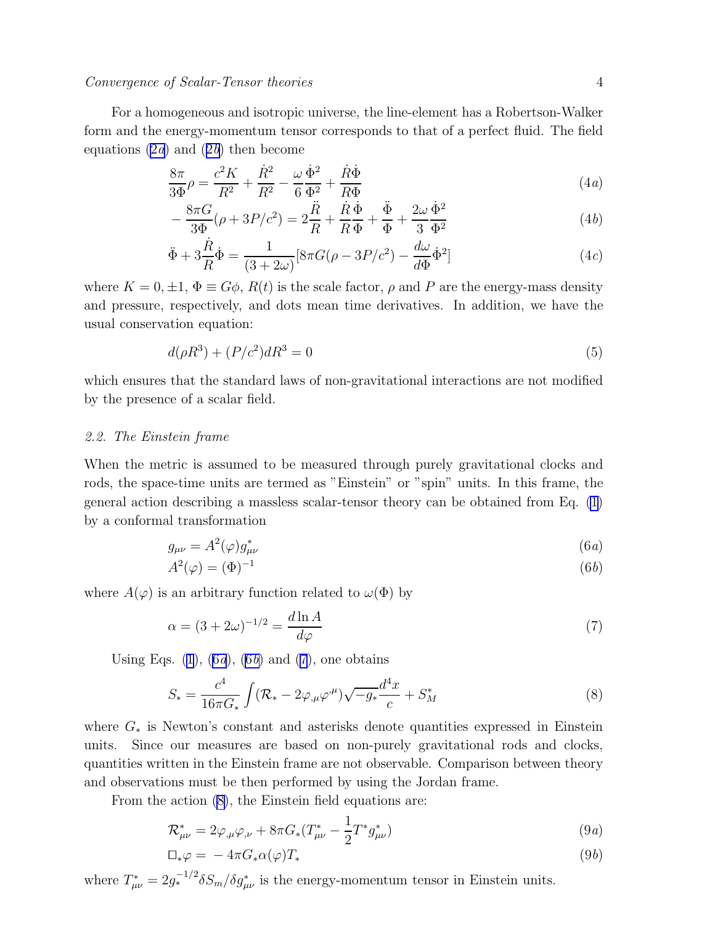<span id="page-3-0"></span>For a homogeneous and isotropic universe, the line-element has a Robertson-Walker form and the energy-momentum tensor corresponds to that of a perfect fluid. The field equ[a](#page-2-0)tions  $(2a)$  and  $(2b)$  $(2b)$  $(2b)$  then become

$$
\frac{8\pi}{3\Phi}\rho = \frac{c^2 K}{R^2} + \frac{\dot{R}^2}{R^2} - \frac{\omega}{6} \frac{\dot{\Phi}^2}{\Phi^2} + \frac{\dot{R}\dot{\Phi}}{R\Phi}
$$
(4*a*)

$$
-\frac{8\pi G}{3\Phi}(\rho + 3P/c^2) = 2\frac{\ddot{R}}{R} + \frac{\dot{R}}{R}\frac{\dot{\Phi}}{\Phi} + \frac{\ddot{\Phi}}{\Phi} + \frac{2\omega}{3}\frac{\dot{\Phi}^2}{\Phi^2}
$$
(4b)

$$
\ddot{\Phi} + 3\frac{\dot{R}}{R}\dot{\Phi} = \frac{1}{(3+2\omega)}[8\pi G(\rho - 3P/c^2) - \frac{d\omega}{d\Phi}\dot{\Phi}^2]
$$
\n(4*c*)

where  $K = 0, \pm 1, \Phi \equiv G\phi$ ,  $R(t)$  is the scale factor,  $\rho$  and P are the energy-mass density and pressure, respectively, and dots mean time derivatives. In addition, we have the usual conservation equation:

$$
d(\rho R^3) + (P/c^2)dR^3 = 0\tag{5}
$$

which ensures that the standard laws of non-gravitational interactions are not modified by the presence of a scalar field.

## 2.2. The Einstein frame

When the metric is assumed to be measured through purely gravitational clocks and rods, the space-time units are termed as "Einstein" or "spin" units. In this frame, the general action describing a massless scalar-tensor theory can be obtained from Eq. [\(1](#page-2-0)) by a conformal transformation

$$
g_{\mu\nu} = A^2(\varphi)g_{\mu\nu}^* \tag{6a}
$$

$$
A^2(\varphi) = (\Phi)^{-1} \tag{6b}
$$

where  $A(\varphi)$  is an arbitrary function related to  $\omega(\Phi)$  by

$$
\alpha = (3 + 2\omega)^{-1/2} = \frac{d \ln A}{d\varphi} \tag{7}
$$

Using Eqs.  $(1)$ ,  $(6a)$ ,  $(6b)$  and  $(7)$ , one obtains

$$
S_{*} = \frac{c^{4}}{16\pi G_{*}} \int (\mathcal{R}_{*} - 2\varphi_{,\mu}\varphi^{,\mu}) \sqrt{-g_{*}} \frac{d^{4}x}{c} + S_{M}^{*}
$$
(8)

where  $G_*$  is Newton's constant and asterisks denote quantities expressed in Einstein units. Since our measures are based on non-purely gravitational rods and clocks, quantities written in the Einstein frame are not observable. Comparison between theory and observations must be then performed by using the Jordan frame.

From the action (8), the Einstein field equations are:

$$
\mathcal{R}^*_{\mu\nu} = 2\varphi_{,\mu}\varphi_{,\nu} + 8\pi G_*(T^*_{\mu\nu} - \frac{1}{2}T^*g^*_{\mu\nu})
$$
\n(9*a*)

$$
\Box_* \varphi = -4\pi G_* \alpha(\varphi) T_* \tag{9b}
$$

where  $T^*_{\mu\nu} = 2g_*^{-1/2} \delta S_m / \delta g^*_{\mu\nu}$  is the energy-momentum tensor in Einstein units.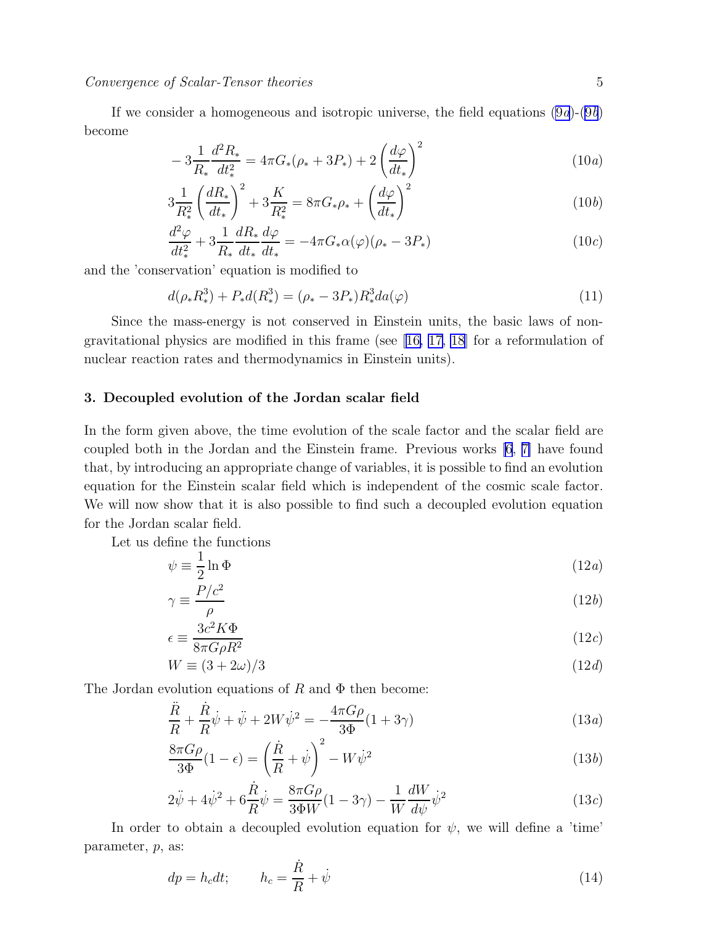<span id="page-4-0"></span>If we consider a homogeneous and isotropic universe, the field equations  $(9a)-(9b)$  $(9a)-(9b)$ become

$$
-3\frac{1}{R_*}\frac{d^2R_*}{dt_*^2} = 4\pi G_*(\rho_* + 3P_*) + 2\left(\frac{d\varphi}{dt_*}\right)^2 \tag{10a}
$$

$$
3\frac{1}{R_*^2} \left(\frac{dR_*}{dt_*}\right)^2 + 3\frac{K}{R_*^2} = 8\pi G_* \rho_* + \left(\frac{d\varphi}{dt_*}\right)^2 \tag{10b}
$$

$$
\frac{d^2\varphi}{dt_*^2} + 3\frac{1}{R_*}\frac{dR_*}{dt_*}\frac{d\varphi}{dt_*} = -4\pi G_*\alpha(\varphi)(\rho_* - 3P_*)
$$
\n(10*c*)

and the 'conservation' equation is modified to

$$
d(\rho_* R_*^3) + P_* d(R_*^3) = (\rho_* - 3P_*) R_*^3 da(\varphi)
$$
\n(11)

Since the mass-energy is not conserved in Einstein units, the basic laws of nongravitational physics are modified in this frame (see[[16, 17, 18](#page-19-0)] for a reformulation of nuclear reaction rates and thermodynamics in Einstein units).

### 3. Decoupled evolution of the Jordan scalar field

In the form given above, the time evolution of the scale factor and the scalar field are coupled both in the Jordan and the Einstein frame. Previous works [\[6, 7\]](#page-19-0) have found that, by introducing an appropriate change of variables, it is possible to find an evolution equation for the Einstein scalar field which is independent of the cosmic scale factor. We will now show that it is also possible to find such a decoupled evolution equation for the Jordan scalar field.

Let us define the functions

$$
\psi \equiv \frac{1}{2} \ln \Phi \tag{12a}
$$

$$
\gamma \equiv \frac{P/c^2}{\rho} \tag{12b}
$$

$$
\epsilon \equiv \frac{3c^2 K \Phi}{8\pi G \rho R^2} \tag{12c}
$$

$$
W \equiv (3 + 2\omega)/3 \tag{12d}
$$

The Jordan evolution equations of R and  $\Phi$  then become:

$$
\frac{\ddot{R}}{R} + \frac{\dot{R}}{R}\dot{\psi} + \ddot{\psi} + 2W\dot{\psi}^2 = -\frac{4\pi G\rho}{3\Phi}(1 + 3\gamma)
$$
\n(13*a*)

$$
\frac{8\pi G\rho}{3\Phi}(1-\epsilon) = \left(\frac{\dot{R}}{R} + \dot{\psi}\right)^2 - W\dot{\psi}^2\tag{13b}
$$

$$
2\ddot{\psi} + 4\dot{\psi}^2 + 6\frac{\dot{R}}{R}\dot{\psi} = \frac{8\pi G\rho}{3\Phi W}(1 - 3\gamma) - \frac{1}{W}\frac{dW}{d\psi}\dot{\psi}^2
$$
(13*c*)

In order to obtain a decoupled evolution equation for  $\psi$ , we will define a 'time' parameter, p, as:

$$
dp = h_c dt; \qquad h_c = \frac{\dot{R}}{R} + \dot{\psi}
$$
\n(14)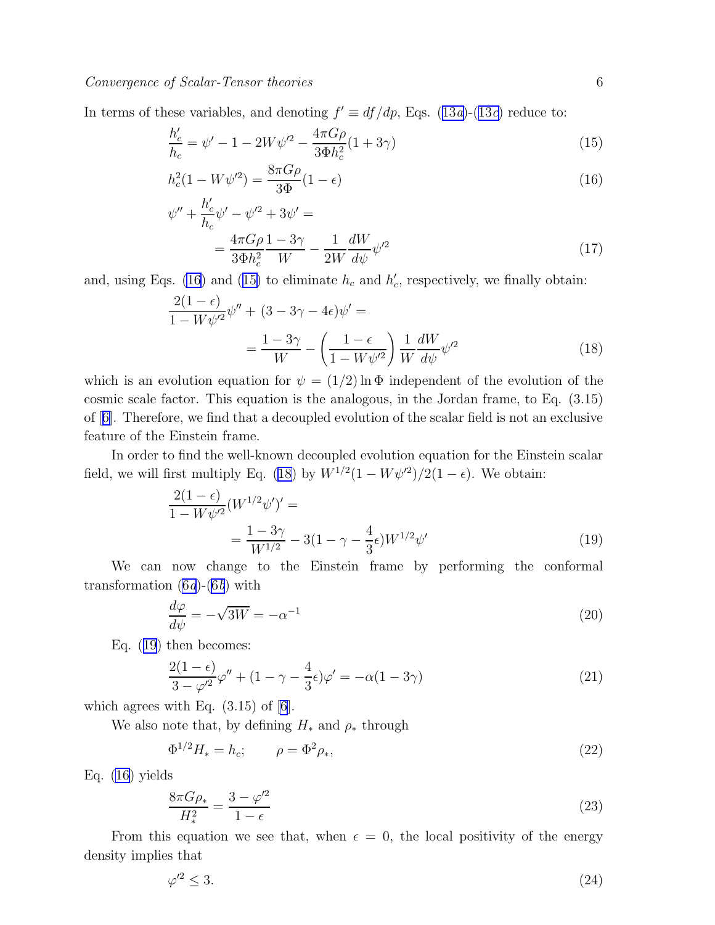<span id="page-5-0"></span>Interms of these variables, and denoting  $f' \equiv df/dp$ , Eqs. ([13](#page-4-0)*a*)-(13*c*) reduce to:

$$
\frac{h_c'}{h_c} = \psi' - 1 - 2W\psi'^2 - \frac{4\pi G\rho}{3\Phi h_c^2} (1 + 3\gamma)
$$
\n(15)

$$
h_c^2 (1 - W\psi^2) = \frac{8\pi G\rho}{3\Phi} (1 - \epsilon)
$$
\n(16)

$$
\psi'' + \frac{h_c'}{h_c} \psi' - \psi'^2 + 3\psi' =
$$
  
= 
$$
\frac{4\pi G\rho}{3\Phi h_c^2} \frac{1 - 3\gamma}{W} - \frac{1}{2W} \frac{dW}{d\psi} \psi'^2
$$
 (17)

and, using Eqs. (16) and (15) to eliminate  $h_c$  and  $h'_c$ , respectively, we finally obtain:

$$
\frac{2(1-\epsilon)}{1-W\psi'^2}\psi'' + (3-3\gamma - 4\epsilon)\psi' =
$$

$$
= \frac{1-3\gamma}{W} - \left(\frac{1-\epsilon}{1-W\psi'^2}\right)\frac{1}{W}\frac{dW}{d\psi}\psi'^2
$$
(18)

which is an evolution equation for  $\psi = (1/2) \ln \Phi$  independent of the evolution of the cosmic scale factor. This equation is the analogous, in the Jordan frame, to Eq. (3.15) of[[6\]](#page-19-0). Therefore, we find that a decoupled evolution of the scalar field is not an exclusive feature of the Einstein frame.

In order to find the well-known decoupled evolution equation for the Einstein scalar field, we will first multiply Eq. (18) by  $W^{1/2}(1 - W\psi^2)/2(1 - \epsilon)$ . We obtain:

$$
\frac{2(1-\epsilon)}{1-W\psi'^2}(W^{1/2}\psi')' =
$$
  
= 
$$
\frac{1-3\gamma}{W^{1/2}} - 3(1-\gamma-\frac{4}{3}\epsilon)W^{1/2}\psi'
$$
 (19)

We can now change to the Einstein frame by performing the conformal transformation  $(6a)-(6b)$  $(6a)-(6b)$  with

$$
\frac{d\varphi}{d\psi} = -\sqrt{3W} = -\alpha^{-1} \tag{20}
$$

Eq. (19) then becomes:

$$
\frac{2(1-\epsilon)}{3-\varphi'^2}\varphi'' + (1-\gamma-\frac{4}{3}\epsilon)\varphi' = -\alpha(1-3\gamma)
$$
\n(21)

which agrees with Eq.  $(3.15)$  of  $[6]$ .

We also note that, by defining  $H_*$  and  $\rho_*$  through

$$
\Phi^{1/2} H_* = h_c; \qquad \rho = \Phi^2 \rho_*, \tag{22}
$$

Eq. (16) yields

$$
\frac{8\pi G\rho_*}{H_*^2} = \frac{3 - \varphi'^2}{1 - \epsilon} \tag{23}
$$

From this equation we see that, when  $\epsilon = 0$ , the local positivity of the energy density implies that

$$
\varphi'^2 \le 3. \tag{24}
$$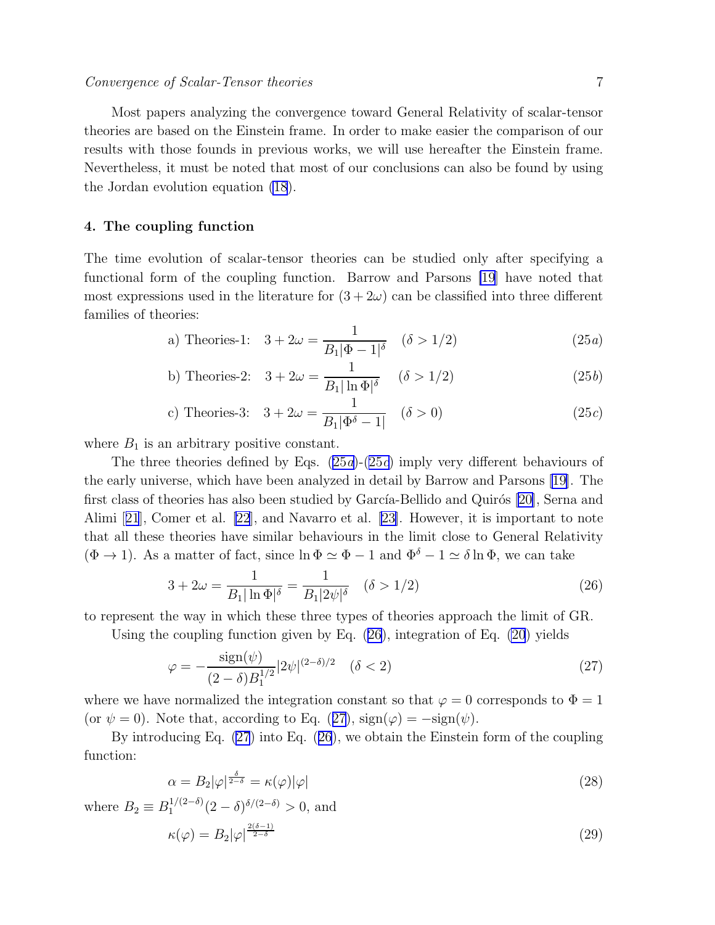<span id="page-6-0"></span>Most papers analyzing the convergence toward General Relativity of scalar-tensor theories are based on the Einstein frame. In order to make easier the comparison of our results with those founds in previous works, we will use hereafter the Einstein frame. Nevertheless, it must be noted that most of our conclusions can also be found by using the Jordan evolution equation [\(18](#page-5-0)).

### 4. The coupling function

The time evolution of scalar-tensor theories can be studied only after specifying a functional form of the coupling function. Barrow and Parsons [\[19](#page-20-0)] have noted that most expressions used in the literature for  $(3+2\omega)$  can be classified into three different families of theories:

a) Theories-1: 
$$
3 + 2\omega = \frac{1}{B_1|\Phi - 1|^{\delta}}
$$
  $(\delta > 1/2)$  (25*a*)

b) Theories-2: 
$$
3 + 2\omega = \frac{1}{B_1 |\ln \Phi|^\delta} \quad (\delta > 1/2)
$$
 (25*b*)

c) Theories-3: 
$$
3 + 2\omega = \frac{1}{B_1|\Phi^{\delta} - 1|}
$$
  $(\delta > 0)$  (25*c*)

where  $B_1$  is an arbitrary positive constant.

The three theories defined by Eqs. (25a)-(25c) imply very different behaviours of the early universe, which have been analyzed in detail by Barrow and Parsons [\[19](#page-20-0)]. The first class of theories has also been studied by García-Bellido and Quirós [\[20\]](#page-20-0), Serna and Alimi[[21](#page-20-0)], Comer et al. [\[22](#page-20-0)], and Navarro et al.[[23\]](#page-20-0). However, it is important to note that all these theories have similar behaviours in the limit close to General Relativity  $(\Phi \to 1)$ . As a matter of fact, since  $\ln \Phi \simeq \Phi - 1$  and  $\Phi^{\delta} - 1 \simeq \delta \ln \Phi$ , we can take

$$
3 + 2\omega = \frac{1}{B_1 |\ln \Phi|^\delta} = \frac{1}{B_1 |2\psi|^\delta} \quad (\delta > 1/2)
$$
 (26)

to represent the way in which these three types of theories approach the limit of GR.

Using the coupling function given by Eq. (26), integration of Eq. [\(20](#page-5-0)) yields

$$
\varphi = -\frac{\text{sign}(\psi)}{(2-\delta)B_1^{1/2}}|2\psi|^{(2-\delta)/2} \quad (\delta < 2)
$$
\n(27)

where we have normalized the integration constant so that  $\varphi = 0$  corresponds to  $\Phi = 1$ (or  $\psi = 0$ ). Note that, according to Eq. (27),  $sign(\varphi) = -sign(\psi)$ .

By introducing Eq. (27) into Eq. (26), we obtain the Einstein form of the coupling function:

$$
\alpha = B_2 |\varphi|^{\frac{\delta}{2-\delta}} = \kappa(\varphi) |\varphi| \tag{28}
$$

where  $B_2 \equiv B_1^{1/(2-\delta)} (2-\delta)^{\delta/(2-\delta)} > 0$ , and

$$
\kappa(\varphi) = B_2 |\varphi|^{\frac{2(\delta - 1)}{2 - \delta}} \tag{29}
$$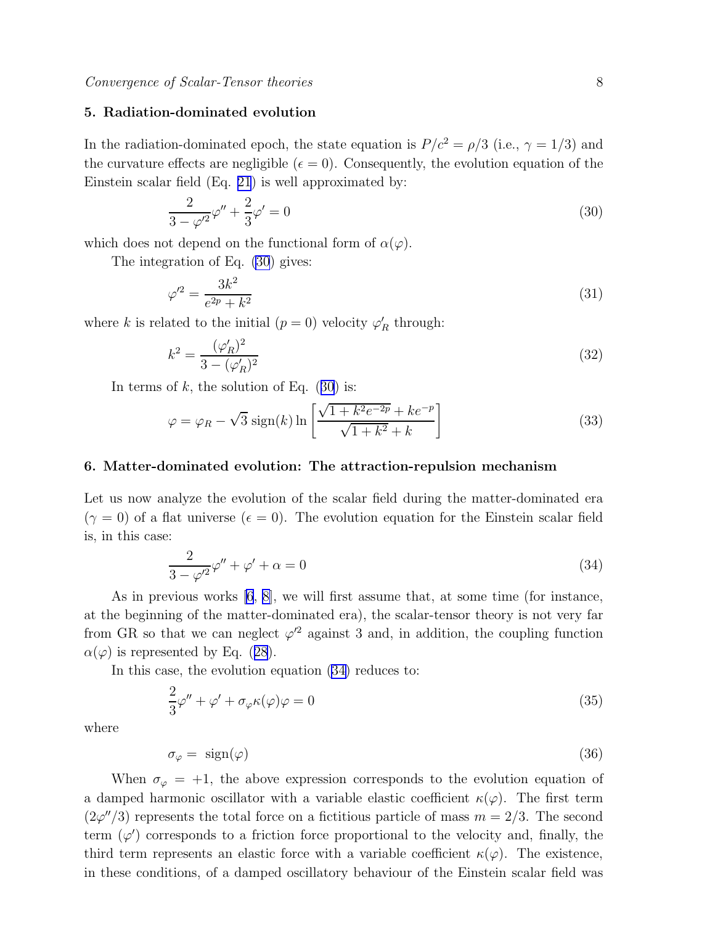### <span id="page-7-0"></span>5. Radiation-dominated evolution

In the radiation-dominated epoch, the state equation is  $P/c^2 = \rho/3$  (i.e.,  $\gamma = 1/3$ ) and the curvature effects are negligible ( $\epsilon = 0$ ). Consequently, the evolution equation of the Einstein scalar field (Eq. [21](#page-5-0)) is well approximated by:

$$
\frac{2}{3 - \varphi'^2} \varphi'' + \frac{2}{3} \varphi' = 0
$$
\n(30)

which does not depend on the functional form of  $\alpha(\varphi)$ .

The integration of Eq. (30) gives:

$$
\varphi'^2 = \frac{3k^2}{e^{2p} + k^2} \tag{31}
$$

where k is related to the initial  $(p = 0)$  velocity  $\varphi'_R$  through:

$$
k^2 = \frac{(\varphi_R')^2}{3 - (\varphi_R')^2} \tag{32}
$$

In terms of  $k$ , the solution of Eq. (30) is:

$$
\varphi = \varphi_R - \sqrt{3} \operatorname{sign}(k) \ln \left[ \frac{\sqrt{1 + k^2 e^{-2p}} + ke^{-p}}{\sqrt{1 + k^2} + k} \right]
$$
\n(33)

### 6. Matter-dominated evolution: The attraction-repulsion mechanism

Let us now analyze the evolution of the scalar field during the matter-dominated era  $(\gamma = 0)$  of a flat universe  $(\epsilon = 0)$ . The evolution equation for the Einstein scalar field is, in this case:

$$
\frac{2}{3-\varphi'^2}\varphi'' + \varphi' + \alpha = 0\tag{34}
$$

As in previous works [\[6](#page-19-0), [8\]](#page-19-0), we will first assume that, at some time (for instance, at the beginning of the matter-dominated era), the scalar-tensor theory is not very far from GR so that we can neglect  $\varphi^2$  against 3 and, in addition, the coupling function  $\alpha(\varphi)$ is represented by Eq. ([28](#page-6-0)).

In this case, the evolution equation (34) reduces to:

$$
\frac{2}{3}\varphi'' + \varphi' + \sigma_{\varphi}\kappa(\varphi)\varphi = 0
$$
\n(35)

where

$$
\sigma_{\varphi} = \text{sign}(\varphi) \tag{36}
$$

When  $\sigma_{\varphi} = +1$ , the above expression corresponds to the evolution equation of a damped harmonic oscillator with a variable elastic coefficient  $\kappa(\varphi)$ . The first term  $(2\varphi''/3)$  represents the total force on a fictitious particle of mass  $m = 2/3$ . The second term  $(\varphi')$  corresponds to a friction force proportional to the velocity and, finally, the third term represents an elastic force with a variable coefficient  $\kappa(\varphi)$ . The existence, in these conditions, of a damped oscillatory behaviour of the Einstein scalar field was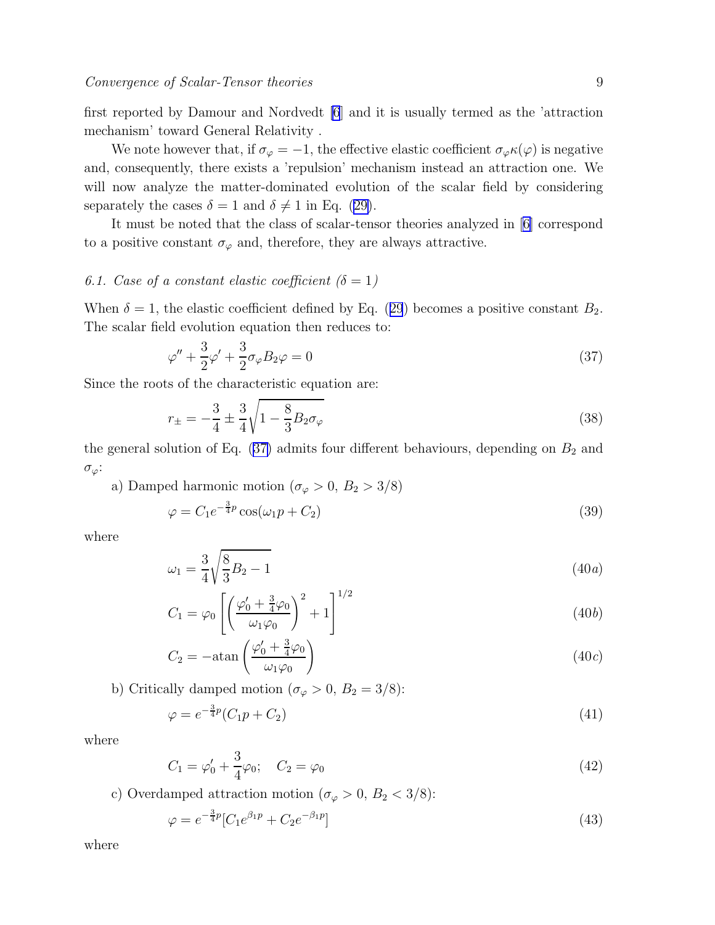<span id="page-8-0"></span>first reported by Damour and Nordvedt [\[6](#page-19-0)] and it is usually termed as the 'attraction mechanism' toward General Relativity .

We note however that, if  $\sigma_{\varphi} = -1$ , the effective elastic coefficient  $\sigma_{\varphi} \kappa(\varphi)$  is negative and, consequently, there exists a 'repulsion' mechanism instead an attraction one. We will now analyze the matter-dominated evolution of the scalar field by considering separately the cases  $\delta = 1$  and  $\delta \neq 1$  in Eq. [\(29\)](#page-6-0).

It must be noted that the class of scalar-tensor theories analyzed in [\[6\]](#page-19-0) correspond to a positive constant  $\sigma_{\varphi}$  and, therefore, they are always attractive.

# 6.1. Case of a constant elastic coefficient  $(\delta=1)$

When $\delta = 1$ , the elastic coefficient defined by Eq. ([29](#page-6-0)) becomes a positive constant  $B_2$ . The scalar field evolution equation then reduces to:

$$
\varphi'' + \frac{3}{2}\varphi' + \frac{3}{2}\sigma_{\varphi}B_2\varphi = 0
$$
\n(37)

Since the roots of the characteristic equation are:

$$
r_{\pm} = -\frac{3}{4} \pm \frac{3}{4} \sqrt{1 - \frac{8}{3} B_2 \sigma_{\varphi}}
$$
\n(38)

the general solution of Eq.  $(37)$  admits four different behaviours, depending on  $B_2$  and  $\sigma_{\varphi}$ :

a) Damped harmonic motion ( $\sigma_{\varphi} > 0$ ,  $B_2 > 3/8$ )

$$
\varphi = C_1 e^{-\frac{3}{4}p} \cos(\omega_1 p + C_2) \tag{39}
$$

where

$$
\omega_1 = \frac{3}{4} \sqrt{\frac{8}{3} B_2 - 1} \tag{40a}
$$

$$
C_1 = \varphi_0 \left[ \left( \frac{\varphi_0' + \frac{3}{4}\varphi_0}{\omega_1 \varphi_0} \right)^2 + 1 \right]^{1/2} \tag{40b}
$$

$$
C_2 = -\operatorname{atan}\left(\frac{\varphi_0' + \frac{3}{4}\varphi_0}{\omega_1\varphi_0}\right) \tag{40c}
$$

b) Critically damped motion ( $\sigma_{\varphi} > 0$ ,  $B_2 = 3/8$ ):

$$
\varphi = e^{-\frac{3}{4}p}(C_1p + C_2)
$$
\n(41)

where

$$
C_1 = \varphi'_0 + \frac{3}{4}\varphi_0; \quad C_2 = \varphi_0 \tag{42}
$$

c) Overdamped attraction motion ( $\sigma_{\varphi} > 0$ ,  $B_2 < 3/8$ ):

$$
\varphi = e^{-\frac{3}{4}p} [C_1 e^{\beta_1 p} + C_2 e^{-\beta_1 p}] \tag{43}
$$

where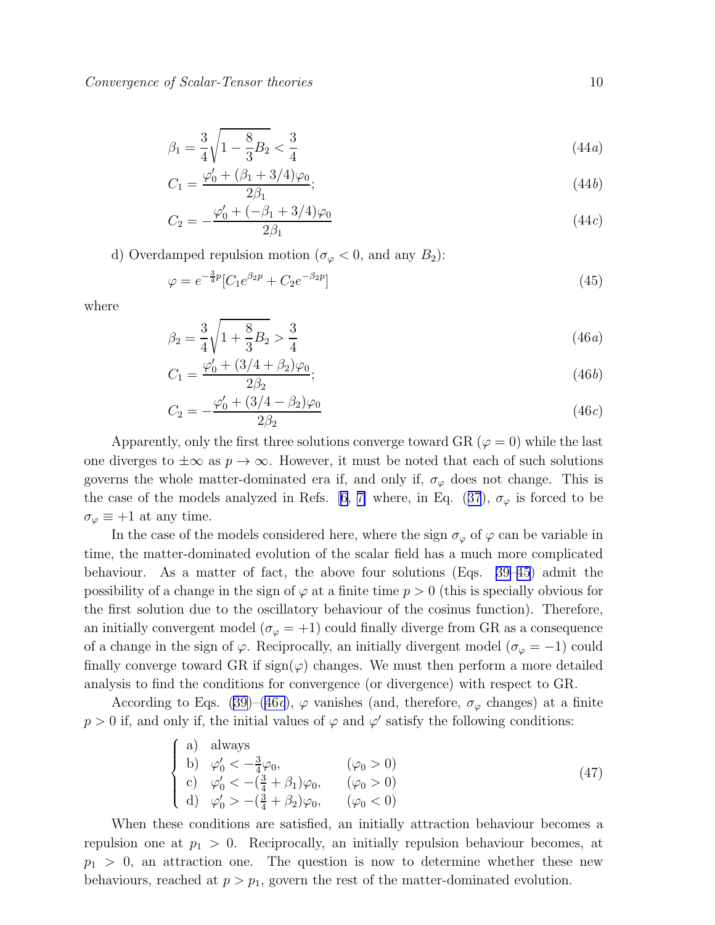<span id="page-9-0"></span>
$$
\beta_1 = \frac{3}{4} \sqrt{1 - \frac{8}{3} B_2} < \frac{3}{4} \tag{44a}
$$

$$
C_1 = \frac{\varphi_0' + (\beta_1 + 3/4)\varphi_0}{2\beta_1};\tag{44b}
$$

$$
C_2 = -\frac{\varphi_0' + (-\beta_1 + 3/4)\varphi_0}{2\beta_1} \tag{44c}
$$

d) Overdamped repulsion motion ( $\sigma_{\varphi} < 0$ , and any  $B_2$ ):

$$
\varphi = e^{-\frac{3}{4}p} [C_1 e^{\beta_2 p} + C_2 e^{-\beta_2 p}] \tag{45}
$$

where

$$
\beta_2 = \frac{3}{4} \sqrt{1 + \frac{8}{3} B_2} > \frac{3}{4}
$$
\n(46*a*)

$$
C_1 = \frac{\varphi_0' + (3/4 + \beta_2)\varphi_0}{2\beta_2};\tag{46b}
$$

$$
C_2 = -\frac{\varphi_0' + (3/4 - \beta_2)\varphi_0}{2\beta_2} \tag{46c}
$$

Apparently, only the first three solutions converge toward GR ( $\varphi = 0$ ) while the last one diverges to  $\pm\infty$  as  $p\to\infty$ . However, it must be noted that each of such solutions governs the whole matter-dominated era if, and only if,  $\sigma_{\varphi}$  does not change. This is thecase of the models analyzed in Refs. [[6, 7\]](#page-19-0) where, in Eq. ([37](#page-8-0)),  $\sigma_{\varphi}$  is forced to be  $\sigma_{\varphi} \equiv +1$  at any time.

In the case of the models considered here, where the sign  $\sigma_{\varphi}$  of  $\varphi$  can be variable in time, the matter-dominated evolution of the scalar field has a much more complicated behaviour. As a matter of fact, the above four solutions (Eqs. [39–](#page-8-0)45) admit the possibility of a change in the sign of  $\varphi$  at a finite time  $p > 0$  (this is specially obvious for the first solution due to the oscillatory behaviour of the cosinus function). Therefore, an initially convergent model ( $\sigma_{\varphi} = +1$ ) could finally diverge from GR as a consequence of a change in the sign of  $\varphi$ . Reciprocally, an initially divergent model ( $\sigma_{\varphi} = -1$ ) could finally converge toward GR if  $sign(\varphi)$  changes. We must then perform a more detailed analysis to find the conditions for convergence (or divergence) with respect to GR.

According to Eqs. [\(39\)](#page-8-0)–(46c),  $\varphi$  vanishes (and, therefore,  $\sigma_{\varphi}$  changes) at a finite  $p > 0$  if, and only if, the initial values of  $\varphi$  and  $\varphi'$  satisfy the following conditions:

$$
\begin{cases}\n\text{a) always} \\
\text{b) } \varphi_0' < -\frac{3}{4}\varphi_0, \\
\text{c) } \varphi_0' < -(\frac{3}{4} + \beta_1)\varphi_0, \\
\text{d) } \varphi_0' > -(\frac{3}{4} + \beta_2)\varphi_0, \\
\varphi_0' > -(\frac{3}{4} + \beta_2)\varphi_0, \\
\varphi_0' < 0\n\end{cases} \tag{47}
$$

When these conditions are satisfied, an initially attraction behaviour becomes a repulsion one at  $p_1 > 0$ . Reciprocally, an initially repulsion behaviour becomes, at  $p_1 > 0$ , an attraction one. The question is now to determine whether these new behaviours, reached at  $p > p_1$ , govern the rest of the matter-dominated evolution.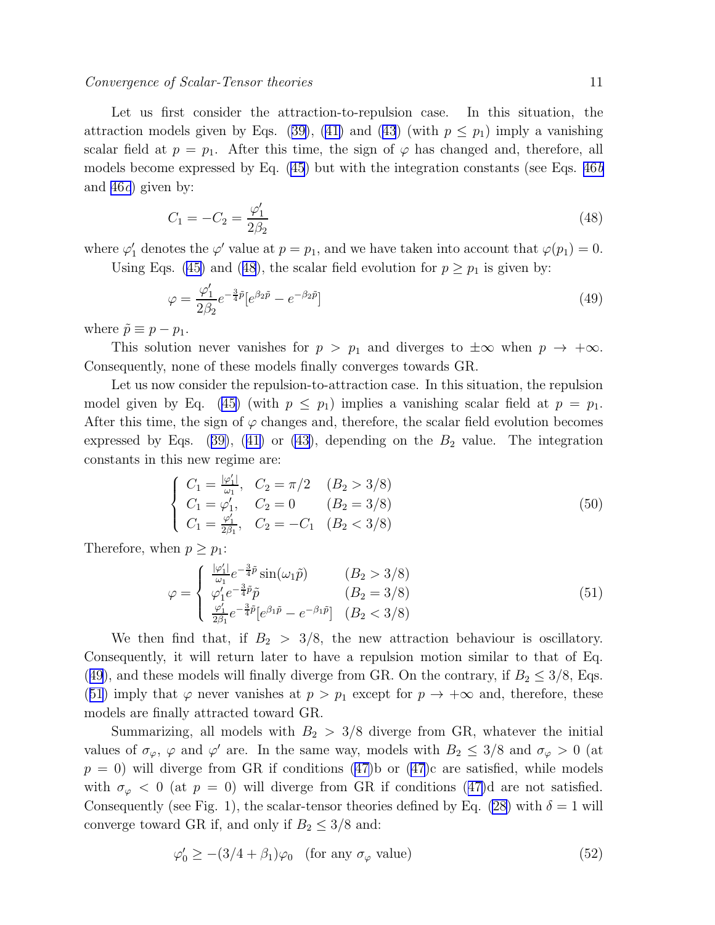### <span id="page-10-0"></span>Convergence of Scalar-Tensor theories 11

Let us first consider the attraction-to-repulsion case. In this situation, the attractionmodels given by Eqs. ([39\)](#page-8-0), ([41\)](#page-8-0) and ([43](#page-8-0)) (with  $p \leq p_1$ ) imply a vanishing scalar field at  $p = p_1$ . After this time, the sign of  $\varphi$  has changed and, therefore, all models become expressed by Eq.  $(45)$  but with the integration constants (see Eqs.  $46b$ and [46](#page-9-0)c) given by:

$$
C_1 = -C_2 = \frac{\varphi_1'}{2\beta_2} \tag{48}
$$

where  $\varphi'_1$  denotes the  $\varphi'$  value at  $p = p_1$ , and we have taken into account that  $\varphi(p_1) = 0$ .

Using Eqs. [\(45\)](#page-9-0) and (48), the scalar field evolution for  $p \geq p_1$  is given by:

$$
\varphi = \frac{\varphi_1'}{2\beta_2} e^{-\frac{3}{4}\tilde{p}} [e^{\beta_2 \tilde{p}} - e^{-\beta_2 \tilde{p}}]
$$
\n(49)

where  $\tilde{p} \equiv p - p_1$ .

This solution never vanishes for  $p > p_1$  and diverges to  $\pm \infty$  when  $p \to +\infty$ . Consequently, none of these models finally converges towards GR.

Let us now consider the repulsion-to-attraction case. In this situation, the repulsion model given by Eq. [\(45\)](#page-9-0) (with  $p \leq p_1$ ) implies a vanishing scalar field at  $p = p_1$ . After this time, the sign of  $\varphi$  changes and, therefore, the scalar field evolution becomes expressedby Eqs. ([39\)](#page-8-0), ([41\)](#page-8-0) or [\(43\)](#page-8-0), depending on the  $B_2$  value. The integration constants in this new regime are:

$$
\begin{cases}\nC_1 = \frac{|\varphi_1'|}{\omega_1}, & C_2 = \pi/2 & (B_2 > 3/8) \\
C_1 = \varphi_1', & C_2 = 0 & (B_2 = 3/8) \\
C_1 = \frac{\varphi_1'}{2\beta_1}, & C_2 = -C_1 & (B_2 < 3/8)\n\end{cases}
$$
\n(50)

Therefore, when  $p \geq p_1$ :

$$
\varphi = \begin{cases}\n\frac{|\varphi_1'|}{\omega_1} e^{-\frac{3}{4}\tilde{p}} \sin(\omega_1 \tilde{p}) & (B_2 > 3/8) \\
\varphi_1' e^{-\frac{3}{4}\tilde{p}} \tilde{p} & (B_2 = 3/8) \\
\frac{\varphi_1'}{2\beta_1} e^{-\frac{3}{4}\tilde{p}} [e^{\beta_1 \tilde{p}} - e^{-\beta_1 \tilde{p}}] & (B_2 < 3/8)\n\end{cases}
$$
\n(51)

We then find that, if  $B_2 > 3/8$ , the new attraction behaviour is oscillatory. Consequently, it will return later to have a repulsion motion similar to that of Eq. (49), and these models will finally diverge from GR. On the contrary, if  $B_2 \leq 3/8$ , Eqs. (51) imply that  $\varphi$  never vanishes at  $p > p_1$  except for  $p \to +\infty$  and, therefore, these models are finally attracted toward GR.

Summarizing, all models with  $B_2 > 3/8$  diverge from GR, whatever the initial values of  $\sigma_{\varphi}$ ,  $\varphi$  and  $\varphi'$  are. In the same way, models with  $B_2 \leq 3/8$  and  $\sigma_{\varphi} > 0$  (at  $p = 0$ ) will diverge from GR if conditions [\(47\)](#page-9-0)b or (47)c are satisfied, while models with $\sigma_{\varphi} < 0$  (at  $p = 0$ ) will diverge from GR if conditions ([47\)](#page-9-0)d are not satisfied. Consequently (see Fig. 1), the scalar-tensor theories defined by Eq. [\(28\)](#page-6-0) with  $\delta = 1$  will converge toward GR if, and only if  $B_2 \leq 3/8$  and:

$$
\varphi'_0 \ge -(3/4 + \beta_1)\varphi_0 \quad \text{(for any } \sigma_\varphi \text{ value)}\tag{52}
$$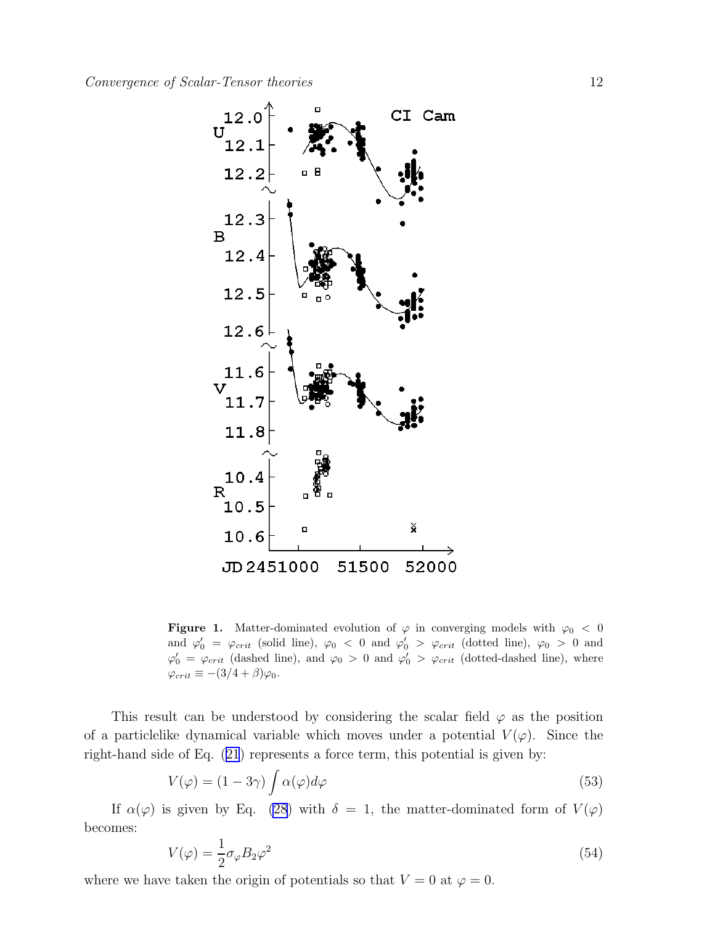<span id="page-11-0"></span>

Figure 1. Matter-dominated evolution of  $\varphi$  in converging models with  $\varphi_0 < 0$ and  $\varphi'_0 = \varphi_{crit}$  (solid line),  $\varphi_0 < 0$  and  $\varphi'_0 > \varphi_{crit}$  (dotted line),  $\varphi_0 > 0$  and  $\varphi'_0 = \varphi_{crit}$  (dashed line), and  $\varphi_0 > 0$  and  $\varphi'_0 > \varphi_{crit}$  (dotted-dashed line), where  $\varphi_{crit} \equiv -(3/4+\beta)\varphi_0.$ 

This result can be understood by considering the scalar field  $\varphi$  as the position of a particlelike dynamical variable which moves under a potential  $V(\varphi)$ . Since the right-hand side of Eq.([21](#page-5-0)) represents a force term, this potential is given by:

$$
V(\varphi) = (1 - 3\gamma) \int \alpha(\varphi) d\varphi \tag{53}
$$

If  $\alpha(\varphi)$  is given by Eq. [\(28](#page-6-0)) with  $\delta = 1$ , the matter-dominated form of  $V(\varphi)$ becomes:

$$
V(\varphi) = \frac{1}{2}\sigma_{\varphi}B_2\varphi^2\tag{54}
$$

where we have taken the origin of potentials so that  $V = 0$  at  $\varphi = 0$ .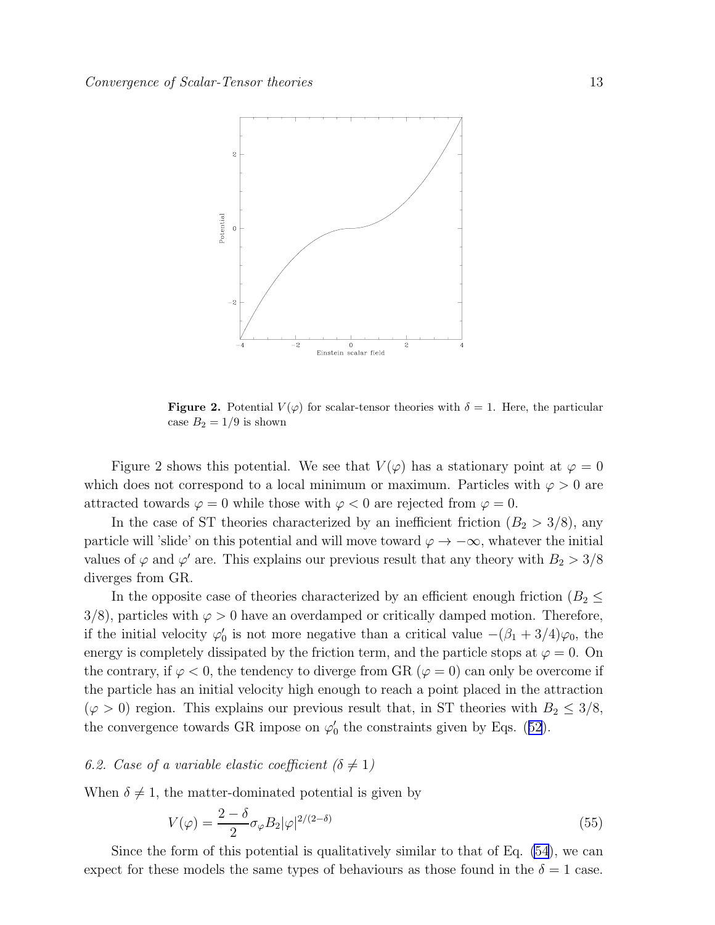

**Figure 2.** Potential  $V(\varphi)$  for scalar-tensor theories with  $\delta = 1$ . Here, the particular case  $B_2 = 1/9$  is shown

Figure 2 shows this potential. We see that  $V(\varphi)$  has a stationary point at  $\varphi = 0$ which does not correspond to a local minimum or maximum. Particles with  $\varphi > 0$  are attracted towards  $\varphi = 0$  while those with  $\varphi < 0$  are rejected from  $\varphi = 0$ .

In the case of ST theories characterized by an inefficient friction  $(B_2 > 3/8)$ , any particle will 'slide' on this potential and will move toward  $\varphi \to -\infty$ , whatever the initial values of  $\varphi$  and  $\varphi'$  are. This explains our previous result that any theory with  $B_2 > 3/8$ diverges from GR.

In the opposite case of theories characterized by an efficient enough friction ( $B_2 \leq$  $3/8$ , particles with  $\varphi > 0$  have an overdamped or critically damped motion. Therefore, if the initial velocity  $\varphi'_0$  is not more negative than a critical value  $-(\beta_1 + 3/4)\varphi_0$ , the energy is completely dissipated by the friction term, and the particle stops at  $\varphi = 0$ . On the contrary, if  $\varphi < 0$ , the tendency to diverge from GR ( $\varphi = 0$ ) can only be overcome if the particle has an initial velocity high enough to reach a point placed in the attraction  $(\varphi > 0)$  region. This explains our previous result that, in ST theories with  $B_2 \leq 3/8$ , theconvergence towards GR impose on  $\varphi'_0$  the constraints given by Eqs. ([52](#page-10-0)).

### 6.2. Case of a variable elastic coefficient ( $\delta \neq 1$ )

When  $\delta \neq 1$ , the matter-dominated potential is given by

$$
V(\varphi) = \frac{2 - \delta}{2} \sigma_{\varphi} B_2 |\varphi|^{2/(2 - \delta)}
$$
\n(55)

Since the form of this potential is qualitatively similar to that of Eq. [\(54](#page-11-0)), we can expect for these models the same types of behaviours as those found in the  $\delta = 1$  case.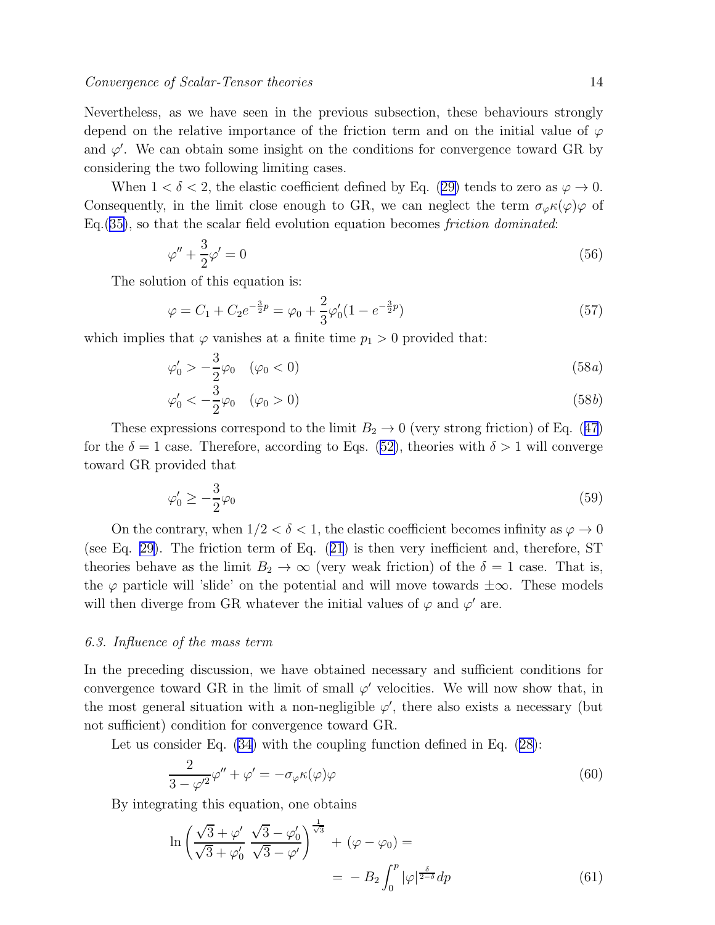<span id="page-13-0"></span>Nevertheless, as we have seen in the previous subsection, these behaviours strongly depend on the relative importance of the friction term and on the initial value of  $\varphi$ and  $\varphi'$ . We can obtain some insight on the conditions for convergence toward GR by considering the two following limiting cases.

When $1 < \delta < 2$ , the elastic coefficient defined by Eq. ([29\)](#page-6-0) tends to zero as  $\varphi \to 0$ . Consequently, in the limit close enough to GR, we can neglect the term  $\sigma_{\varphi} \kappa(\varphi) \varphi$  of  $Eq.(35)$  $Eq.(35)$ , so that the scalar field evolution equation becomes *friction dominated*:

$$
\varphi'' + \frac{3}{2}\varphi' = 0\tag{56}
$$

The solution of this equation is:

$$
\varphi = C_1 + C_2 e^{-\frac{3}{2}p} = \varphi_0 + \frac{2}{3} \varphi_0' (1 - e^{-\frac{3}{2}p})
$$
\n(57)

which implies that  $\varphi$  vanishes at a finite time  $p_1 > 0$  provided that:

$$
\varphi'_0 > -\frac{3}{2}\varphi_0 \quad (\varphi_0 < 0)
$$
\n
$$
\tag{58a}
$$

$$
\varphi'_0 < -\frac{3}{2}\varphi_0 \quad (\varphi_0 > 0)
$$
\n
$$
\tag{58b}
$$

Theseexpressions correspond to the limit  $B_2 \to 0$  (very strong friction) of Eq. ([47](#page-9-0)) forthe  $\delta = 1$  case. Therefore, according to Eqs. ([52\)](#page-10-0), theories with  $\delta > 1$  will converge toward GR provided that

$$
\varphi'_0 \ge -\frac{3}{2}\varphi_0 \tag{59}
$$

On the contrary, when  $1/2 < \delta < 1$ , the elastic coefficient becomes infinity as  $\varphi \to 0$ (see Eq. [29\)](#page-6-0). The friction term of Eq.([21](#page-5-0)) is then very inefficient and, therefore, ST theories behave as the limit  $B_2 \to \infty$  (very weak friction) of the  $\delta = 1$  case. That is, the  $\varphi$  particle will 'slide' on the potential and will move towards  $\pm \infty$ . These models will then diverge from GR whatever the initial values of  $\varphi$  and  $\varphi'$  are.

# 6.3. Influence of the mass term

In the preceding discussion, we have obtained necessary and sufficient conditions for convergence toward GR in the limit of small  $\varphi'$  velocities. We will now show that, in the most general situation with a non-negligible  $\varphi'$ , there also exists a necessary (but not sufficient) condition for convergence toward GR.

Let us consider Eq. [\(34\)](#page-7-0) with the coupling function defined in Eq.([28\)](#page-6-0):

$$
\frac{2}{3-\varphi'^2}\varphi'' + \varphi' = -\sigma_{\varphi}\kappa(\varphi)\varphi\tag{60}
$$

By integrating this equation, one obtains

$$
\ln\left(\frac{\sqrt{3}+\varphi'}{\sqrt{3}+\varphi'_0}\frac{\sqrt{3}-\varphi'_0}{\sqrt{3}-\varphi'}\right)^{\frac{1}{\sqrt{3}}}+(\varphi-\varphi_0)=
$$
  
=\ -B\_2\int\_0^p|\varphi|^{\frac{\delta}{2-\delta}}dp (61)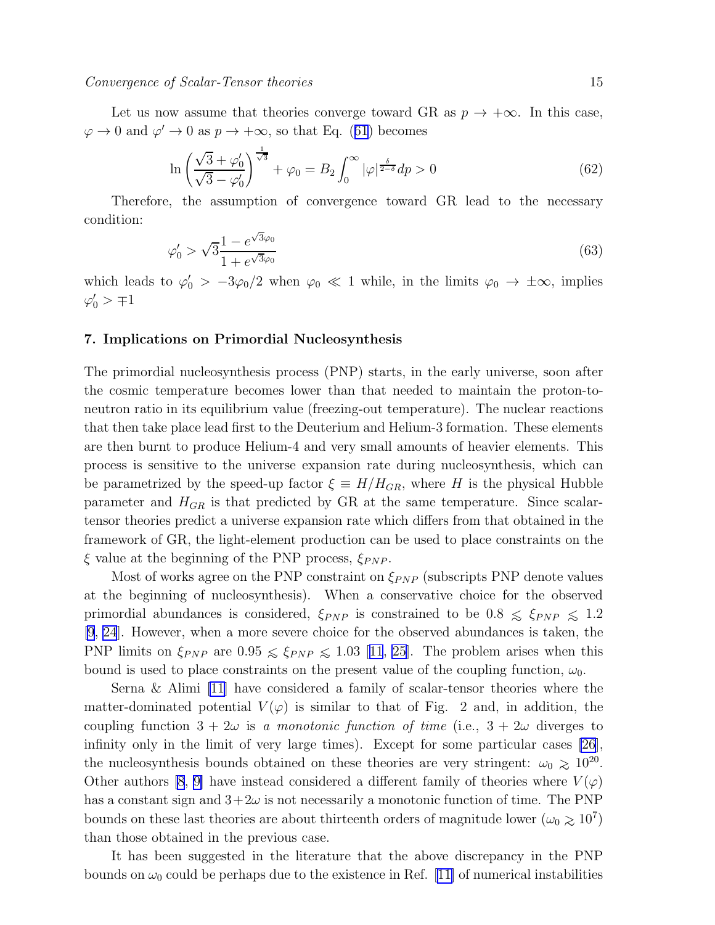<span id="page-14-0"></span>Let us now assume that theories converge toward GR as  $p \to +\infty$ . In this case,  $\varphi \to 0$  $\varphi \to 0$  $\varphi \to 0$  and  $\varphi' \to 0$  as  $p \to +\infty$ , so that Eq. ([61](#page-13-0)) becomes

$$
\ln\left(\frac{\sqrt{3}+\varphi_0'}{\sqrt{3}-\varphi_0'}\right)^{\frac{1}{\sqrt{3}}}+\varphi_0=B_2\int_0^\infty |\varphi|^{\frac{\delta}{2-\delta}}dp>0\tag{62}
$$

Therefore, the assumption of convergence toward GR lead to the necessary condition:

$$
\varphi_0' > \sqrt{3} \frac{1 - e^{\sqrt{3}\varphi_0}}{1 + e^{\sqrt{3}\varphi_0}} \tag{63}
$$

which leads to  $\varphi'_0 > -3\varphi_0/2$  when  $\varphi_0 \ll 1$  while, in the limits  $\varphi_0 \to \pm \infty$ , implies  $\varphi'_0$  >  $\mp 1$ 

# 7. Implications on Primordial Nucleosynthesis

The primordial nucleosynthesis process (PNP) starts, in the early universe, soon after the cosmic temperature becomes lower than that needed to maintain the proton-toneutron ratio in its equilibrium value (freezing-out temperature). The nuclear reactions that then take place lead first to the Deuterium and Helium-3 formation. These elements are then burnt to produce Helium-4 and very small amounts of heavier elements. This process is sensitive to the universe expansion rate during nucleosynthesis, which can be parametrized by the speed-up factor  $\xi \equiv H/H_{GR}$ , where H is the physical Hubble parameter and  $H_{GR}$  is that predicted by GR at the same temperature. Since scalartensor theories predict a universe expansion rate which differs from that obtained in the framework of GR, the light-element production can be used to place constraints on the  $\xi$  value at the beginning of the PNP process,  $\xi_{PNP}$ .

Most of works agree on the PNP constraint on  $\xi_{PNP}$  (subscripts PNP denote values at the beginning of nucleosynthesis). When a conservative choice for the observed primordial abundances is considered,  $\xi_{PNP}$  is constrained to be  $0.8 \leq \xi_{PNP} \leq 1.2$ [\[9](#page-19-0), [24](#page-20-0)]. However, when a more severe choice for the observed abundances is taken, the PNPlimits on  $\xi_{PNP}$  are 0.95  $\leq \xi_{PNP} \leq 1.03$  [[11](#page-19-0), [25\]](#page-20-0). The problem arises when this bound is used to place constraints on the present value of the coupling function,  $\omega_0$ .

Serna & Alimi [\[11](#page-19-0)] have considered a family of scalar-tensor theories where the matter-dominated potential  $V(\varphi)$  is similar to that of Fig. 2 and, in addition, the coupling function  $3 + 2\omega$  is a monotonic function of time (i.e.,  $3 + 2\omega$  diverges to infinity only in the limit of very large times). Except for some particular cases [\[26](#page-20-0)], the nucleosynthesis bounds obtained on these theories are very stringent:  $\omega_0 \gtrsim 10^{20}$ . Other authors [\[8](#page-19-0), [9\]](#page-19-0) have instead considered a different family of theories where  $V(\varphi)$ has a constant sign and  $3+2\omega$  is not necessarily a monotonic function of time. The PNP bounds on these last theories are about thirteenth orders of magnitude lower ( $\omega_0 \gtrsim 10^7$ ) than those obtained in the previous case.

It has been suggested in the literature that the above discrepancy in the PNP boundson  $\omega_0$  could be perhaps due to the existence in Ref. [[11\]](#page-19-0) of numerical instabilities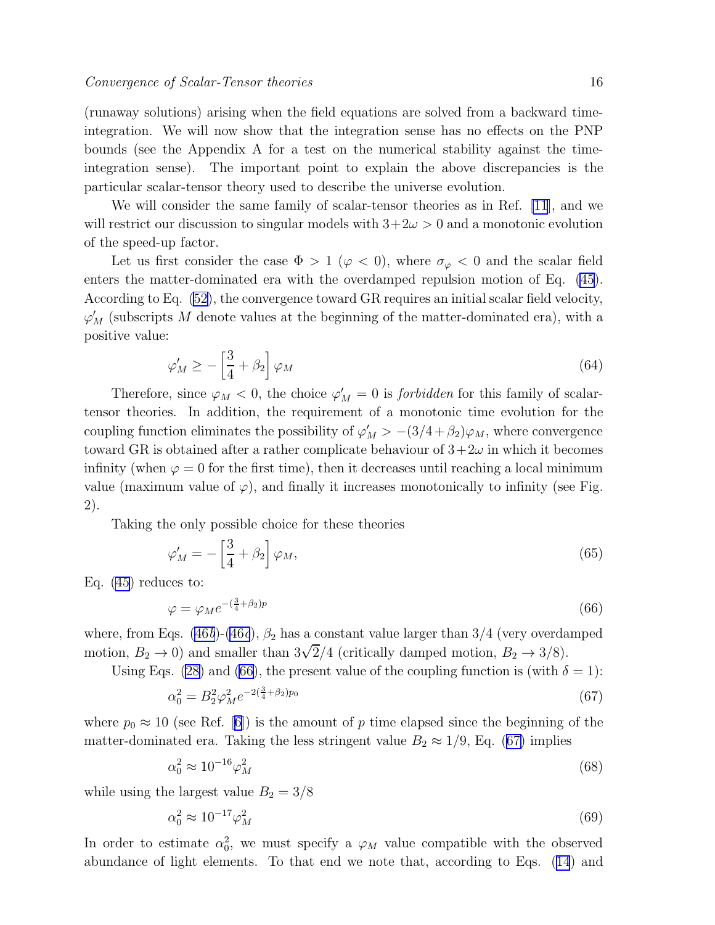<span id="page-15-0"></span>(runaway solutions) arising when the field equations are solved from a backward timeintegration. We will now show that the integration sense has no effects on the PNP bounds (see the Appendix A for a test on the numerical stability against the timeintegration sense). The important point to explain the above discrepancies is the particular scalar-tensor theory used to describe the universe evolution.

We will consider the same family of scalar-tensor theories as in Ref. [\[11](#page-19-0)], and we will restrict our discussion to singular models with  $3+2\omega > 0$  and a monotonic evolution of the speed-up factor.

Let us first consider the case  $\Phi > 1$  ( $\varphi < 0$ ), where  $\sigma_{\varphi} < 0$  and the scalar field enters the matter-dominated era with the overdamped repulsion motion of Eq. [\(45](#page-9-0)). According to Eq. [\(52\)](#page-10-0), the convergence toward GR requires an initial scalar field velocity,  $\varphi'_{M}$  (subscripts M denote values at the beginning of the matter-dominated era), with a positive value:

$$
\varphi'_M \ge -\left[\frac{3}{4} + \beta_2\right] \varphi_M \tag{64}
$$

Therefore, since  $\varphi_M < 0$ , the choice  $\varphi'_M = 0$  is *forbidden* for this family of scalartensor theories. In addition, the requirement of a monotonic time evolution for the coupling function eliminates the possibility of  $\varphi'_M > -(3/4 + \beta_2)\varphi_M$ , where convergence toward GR is obtained after a rather complicate behaviour of  $3+2\omega$  in which it becomes infinity (when  $\varphi = 0$  for the first time), then it decreases until reaching a local minimum value (maximum value of  $\varphi$ ), and finally it increases monotonically to infinity (see Fig. 2).

Taking the only possible choice for these theories

$$
\varphi'_M = -\left[\frac{3}{4} + \beta_2\right] \varphi_M,\tag{65}
$$

Eq. [\(45\)](#page-9-0) reduces to:

$$
\varphi = \varphi_M e^{-\left(\frac{3}{4} + \beta_2\right)p} \tag{66}
$$

where, from Eqs. [\(46](#page-9-0)b)-[\(46](#page-9-0)c),  $\beta_2$  has a constant value larger than 3/4 (very overdamped motion,  $B_2 \to 0$ ) and smaller than  $3\sqrt{2}/4$  (critically damped motion,  $B_2 \to 3/8$ ).

Using Eqs. [\(28\)](#page-6-0) and (66), the present value of the coupling function is (with  $\delta = 1$ ):

$$
\alpha_0^2 = B_2^2 \varphi_M^2 e^{-2(\frac{3}{4} + \beta_2)p_0} \tag{67}
$$

where  $p_0 \approx 10$  (see Ref. [\[6\]](#page-19-0)) is the amount of p time elapsed since the beginning of the matter-dominated era. Taking the less stringent value  $B_2 \approx 1/9$ , Eq. (67) implies

$$
\alpha_0^2 \approx 10^{-16} \varphi_M^2 \tag{68}
$$

while using the largest value  $B_2 = 3/8$ 

$$
\alpha_0^2 \approx 10^{-17} \varphi_M^2 \tag{69}
$$

In order to estimate  $\alpha_0^2$ , we must specify a  $\varphi_M$  value compatible with the observed abundance of light elements. To that end we note that, according to Eqs.([14](#page-4-0)) and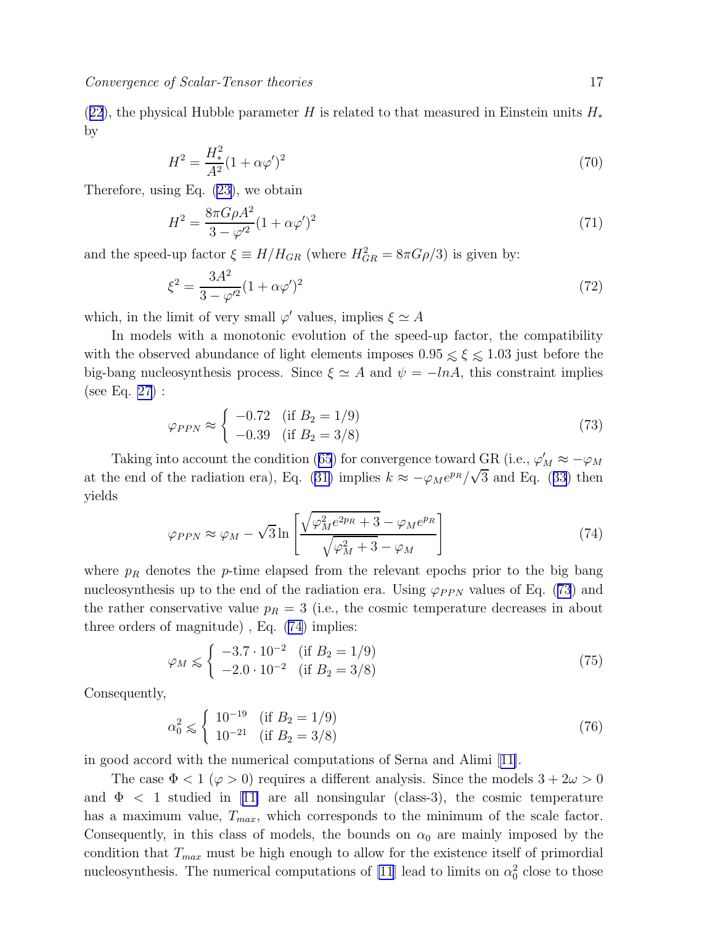<span id="page-16-0"></span>([22](#page-5-0)), the physical Hubble parameter H is related to that measured in Einstein units  $H_*$ by

$$
H^2 = \frac{H_*^2}{A^2} (1 + \alpha \varphi')^2 \tag{70}
$$

Therefore, using Eq.([23\)](#page-5-0), we obtain

$$
H^{2} = \frac{8\pi G\rho A^{2}}{3 - \varphi'^{2}} (1 + \alpha \varphi')^{2}
$$
\n(71)

and the speed-up factor  $\xi \equiv H/H_{GR}$  (where  $H_{GR}^2 = 8\pi G \rho/3$ ) is given by:

$$
\xi^2 = \frac{3A^2}{3 - \varphi'^2} (1 + \alpha \varphi')^2 \tag{72}
$$

which, in the limit of very small  $\varphi'$  values, implies  $\xi \simeq A$ 

In models with a monotonic evolution of the speed-up factor, the compatibility with the observed abundance of light elements imposes  $0.95 \leq \xi \leq 1.03$  just before the big-bang nucleosynthesis process. Since  $\xi \simeq A$  and  $\psi = -\ln A$ , this constraint implies (see Eq. [27\)](#page-6-0) :

$$
\varphi_{PPN} \approx \begin{cases} -0.72 & (\text{if } B_2 = 1/9) \\ -0.39 & (\text{if } B_2 = 3/8) \end{cases}
$$
 (73)

Takinginto account the condition ([65](#page-15-0)) for convergence toward  $\frac{GR}{\epsilon}$  (i.e.,  $\varphi'_M \approx -\varphi_M$ atthe end of the radiation era), Eq. ([31\)](#page-7-0) implies  $k \approx -\varphi_M e^{p_R}/\sqrt{3}$  and Eq. ([33](#page-7-0)) then yields

$$
\varphi_{PPN} \approx \varphi_M - \sqrt{3} \ln \left[ \frac{\sqrt{\varphi_M^2 e^{2p_R} + 3} - \varphi_M e^{p_R}}{\sqrt{\varphi_M^2 + 3} - \varphi_M} \right] \tag{74}
$$

where  $p_R$  denotes the p-time elapsed from the relevant epochs prior to the big bang nucleosynthesis up to the end of the radiation era. Using  $\varphi_{PPN}$  values of Eq. (73) and the rather conservative value  $p_R = 3$  (i.e., the cosmic temperature decreases in about three orders of magnitude) , Eq. (74) implies:

$$
\varphi_M \leq \begin{cases}\n-3.7 \cdot 10^{-2} & \text{(if } B_2 = 1/9) \\
-2.0 \cdot 10^{-2} & \text{(if } B_2 = 3/8)\n\end{cases}
$$
\n(75)

Consequently,

$$
\alpha_0^2 \le \begin{cases} 10^{-19} & (\text{if } B_2 = 1/9) \\ 10^{-21} & (\text{if } B_2 = 3/8) \end{cases}
$$
 (76)

in good accord with the numerical computations of Serna and Alimi[[11\]](#page-19-0).

The case  $\Phi < 1 \ (\varphi > 0)$  requires a different analysis. Since the models  $3 + 2\omega > 0$ and $\Phi$  < 1 studied in [[11\]](#page-19-0) are all nonsingular (class-3), the cosmic temperature has a maximum value,  $T_{max}$ , which corresponds to the minimum of the scale factor. Consequently, in this class of models, the bounds on  $\alpha_0$  are mainly imposed by the condition that  $T_{max}$  must be high enough to allow for the existence itself of primordial nucleosynthesis. The numerical computations of [\[11\]](#page-19-0) lead to limits on  $\alpha_0^2$  close to those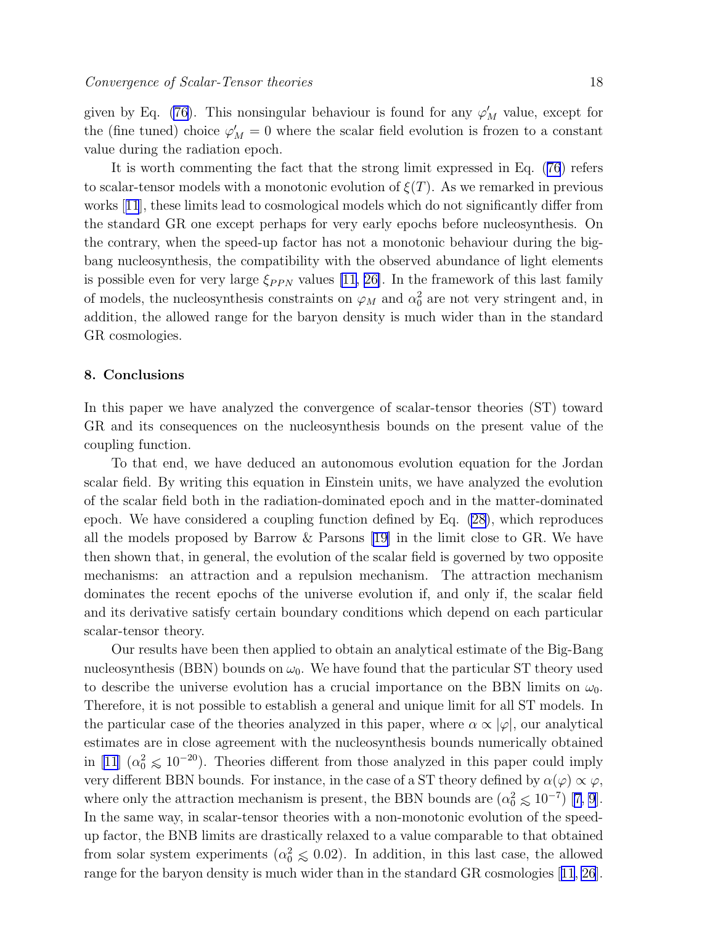<span id="page-17-0"></span>given by Eq. [\(76](#page-16-0)). This nonsingular behaviour is found for any  $\varphi'_{M}$  value, except for the (fine tuned) choice  $\varphi'_{M} = 0$  where the scalar field evolution is frozen to a constant value during the radiation epoch.

It is worth commenting the fact that the strong limit expressed in Eq.([76](#page-16-0)) refers to scalar-tensor models with a monotonic evolution of  $\xi(T)$ . As we remarked in previous works[[11](#page-19-0)], these limits lead to cosmological models which do not significantly differ from the standard GR one except perhaps for very early epochs before nucleosynthesis. On the contrary, when the speed-up factor has not a monotonic behaviour during the bigbang nucleosynthesis, the compatibility with the observed abundance of light elements is possible even for very large  $\xi_{PPN}$  values [\[11](#page-19-0), [26\]](#page-20-0). In the framework of this last family of models, the nucleosynthesis constraints on  $\varphi_M$  and  $\alpha_0^2$  are not very stringent and, in addition, the allowed range for the baryon density is much wider than in the standard GR cosmologies.

### 8. Conclusions

In this paper we have analyzed the convergence of scalar-tensor theories (ST) toward GR and its consequences on the nucleosynthesis bounds on the present value of the coupling function.

To that end, we have deduced an autonomous evolution equation for the Jordan scalar field. By writing this equation in Einstein units, we have analyzed the evolution of the scalar field both in the radiation-dominated epoch and in the matter-dominated epoch. We have considered a coupling function defined by Eq. [\(28](#page-6-0)), which reproduces all the models proposed by Barrow & Parsons [\[19\]](#page-20-0) in the limit close to GR. We have then shown that, in general, the evolution of the scalar field is governed by two opposite mechanisms: an attraction and a repulsion mechanism. The attraction mechanism dominates the recent epochs of the universe evolution if, and only if, the scalar field and its derivative satisfy certain boundary conditions which depend on each particular scalar-tensor theory.

Our results have been then applied to obtain an analytical estimate of the Big-Bang nucleosynthesis (BBN) bounds on  $\omega_0$ . We have found that the particular ST theory used to describe the universe evolution has a crucial importance on the BBN limits on  $\omega_0$ . Therefore, it is not possible to establish a general and unique limit for all ST models. In the particular case of the theories analyzed in this paper, where  $\alpha \propto |\varphi|$ , our analytical estimates are in close agreement with the nucleosynthesis bounds numerically obtained in [\[11\]](#page-19-0)  $(\alpha_0^2 \leq 10^{-20})$ . Theories different from those analyzed in this paper could imply very different BBN bounds. For instance, in the case of a ST theory defined by  $\alpha(\varphi) \propto \varphi$ , whereonly the attraction mechanism is present, the BBN bounds are  $(\alpha_0^2 \leq 10^{-7})$  [[7, 9](#page-19-0)]. In the same way, in scalar-tensor theories with a non-monotonic evolution of the speedup factor, the BNB limits are drastically relaxed to a value comparable to that obtained from solar system experiments  $(\alpha_0^2 \leq 0.02)$ . In addition, in this last case, the allowed range for the baryon density is much wider than in the standard GR cosmologies[[11](#page-19-0), [26](#page-20-0)].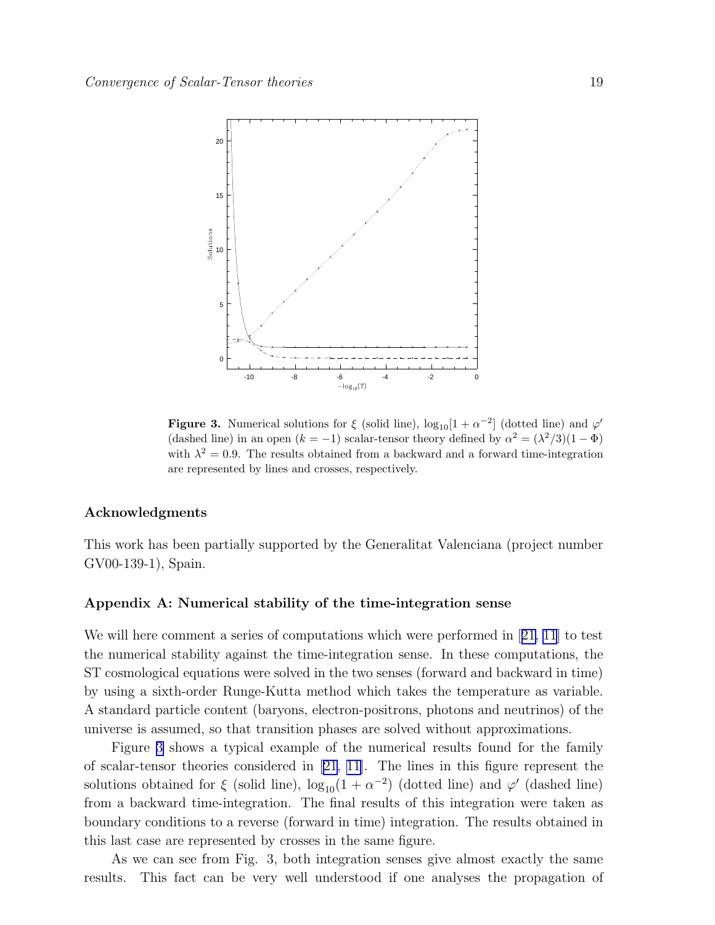

**Figure 3.** Numerical solutions for  $\xi$  (solid line),  $\log_{10}[1 + \alpha^{-2}]$  (dotted line) and  $\varphi'$ (dashed line) in an open  $(k = -1)$  scalar-tensor theory defined by  $\alpha^2 = (\lambda^2/3)(1 - \Phi)$ with  $\lambda^2 = 0.9$ . The results obtained from a backward and a forward time-integration are represented by lines and crosses, respectively.

### Acknowledgments

This work has been partially supported by the Generalitat Valenciana (project number GV00-139-1), Spain.

### Appendix A: Numerical stability of the time-integration sense

Wewill here comment a series of computations which were performed in [[21,](#page-20-0) [11\]](#page-19-0) to test the numerical stability against the time-integration sense. In these computations, the ST cosmological equations were solved in the two senses (forward and backward in time) by using a sixth-order Runge-Kutta method which takes the temperature as variable. A standard particle content (baryons, electron-positrons, photons and neutrinos) of the universe is assumed, so that transition phases are solved without approximations.

Figure 3 shows a typical example of the numerical results found for the family of scalar-tensor theories considered in [\[21,](#page-20-0) [11\]](#page-19-0). The lines in this figure represent the solutions obtained for  $\xi$  (solid line),  $\log_{10}(1 + \alpha^{-2})$  (dotted line) and  $\varphi'$  (dashed line) from a backward time-integration. The final results of this integration were taken as boundary conditions to a reverse (forward in time) integration. The results obtained in this last case are represented by crosses in the same figure.

As we can see from Fig. 3, both integration senses give almost exactly the same results. This fact can be very well understood if one analyses the propagation of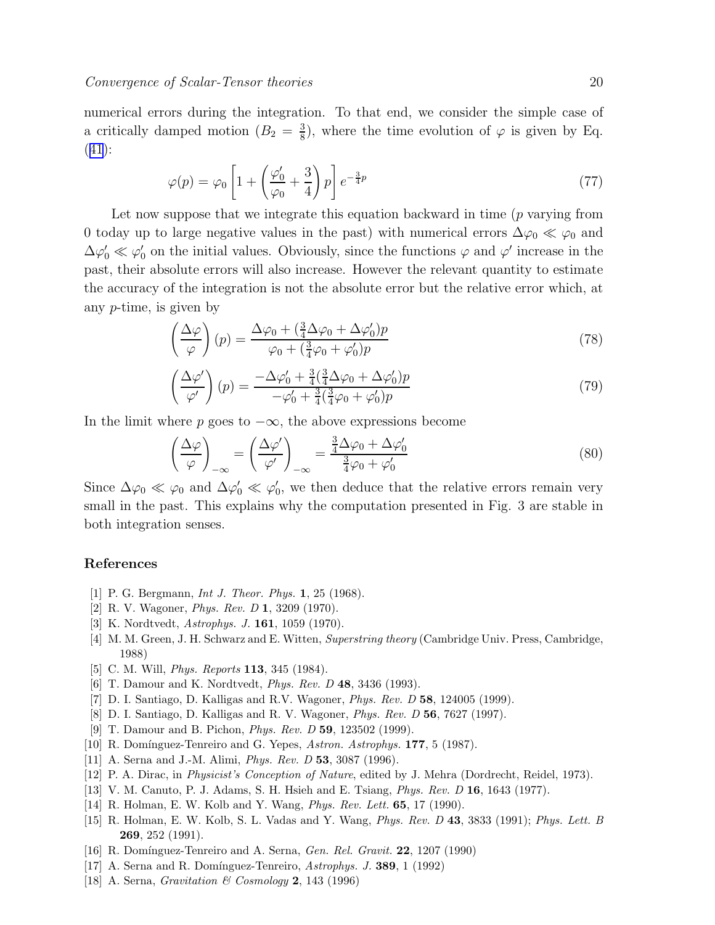<span id="page-19-0"></span>numerical errors during the integration. To that end, we consider the simple case of a critically damped motion  $(B_2 = \frac{3}{8})$  $\frac{3}{8}$ , where the time evolution of  $\varphi$  is given by Eq. ([41](#page-8-0)):

$$
\varphi(p) = \varphi_0 \left[ 1 + \left( \frac{\varphi_0'}{\varphi_0} + \frac{3}{4} \right) p \right] e^{-\frac{3}{4}p} \tag{77}
$$

Let now suppose that we integrate this equation backward in time (p varying from 0 today up to large negative values in the past) with numerical errors  $\Delta\varphi_0 \ll \varphi_0$  and  $\Delta\varphi'_0 \ll \varphi'_0$  on the initial values. Obviously, since the functions  $\varphi$  and  $\varphi'$  increase in the past, their absolute errors will also increase. However the relevant quantity to estimate the accuracy of the integration is not the absolute error but the relative error which, at any p-time, is given by

$$
\left(\frac{\Delta\varphi}{\varphi}\right)(p) = \frac{\Delta\varphi_0 + \left(\frac{3}{4}\Delta\varphi_0 + \Delta\varphi_0'\right)p}{\varphi_0 + \left(\frac{3}{4}\varphi_0 + \varphi_0'\right)p}
$$
\n(78)

$$
\left(\frac{\Delta\varphi'}{\varphi'}\right)(p) = \frac{-\Delta\varphi'_0 + \frac{3}{4}(\frac{3}{4}\Delta\varphi_0 + \Delta\varphi'_0)p}{-\varphi'_0 + \frac{3}{4}(\frac{3}{4}\varphi_0 + \varphi'_0)p}
$$
\n(79)

In the limit where p goes to  $-\infty$ , the above expressions become

$$
\left(\frac{\Delta\varphi}{\varphi}\right)_{-\infty} = \left(\frac{\Delta\varphi'}{\varphi'}\right)_{-\infty} = \frac{\frac{3}{4}\Delta\varphi_0 + \Delta\varphi'_0}{\frac{3}{4}\varphi_0 + \varphi'_0}
$$
\n(80)

Since  $\Delta\varphi_0 \ll \varphi_0$  and  $\Delta\varphi'_0 \ll \varphi'_0$ , we then deduce that the relative errors remain very small in the past. This explains why the computation presented in Fig. 3 are stable in both integration senses.

### References

- [1] P. G. Bergmann, *Int J. Theor. Phys.* **1**, 25 (1968).
- [2] R. V. Wagoner, Phys. Rev. D 1, 3209 (1970).
- [3] K. Nordtvedt, Astrophys. J. 161, 1059 (1970).
- [4] M. M. Green, J. H. Schwarz and E. Witten, Superstring theory (Cambridge Univ. Press, Cambridge, 1988)
- [5] C. M. Will, *Phys. Reports* **113**, 345 (1984).
- [6] T. Damour and K. Nordtvedt, *Phys. Rev. D* 48, 3436 (1993).
- [7] D. I. Santiago, D. Kalligas and R.V. Wagoner, Phys. Rev. D 58, 124005 (1999).
- [8] D. I. Santiago, D. Kalligas and R. V. Wagoner, Phys. Rev. D 56, 7627 (1997).
- [9] T. Damour and B. Pichon, *Phys. Rev. D* **59**, 123502 (1999).
- [10] R. Domínguez-Tenreiro and G. Yepes, Astron. Astrophys. 177, 5 (1987).
- [11] A. Serna and J.-M. Alimi, *Phys. Rev. D* 53, 3087 (1996).
- [12] P. A. Dirac, in Physicist's Conception of Nature, edited by J. Mehra (Dordrecht, Reidel, 1973).
- [13] V. M. Canuto, P. J. Adams, S. H. Hsieh and E. Tsiang, Phys. Rev. D 16, 1643 (1977).
- [14] R. Holman, E. W. Kolb and Y. Wang, Phys. Rev. Lett. 65, 17 (1990).
- [15] R. Holman, E. W. Kolb, S. L. Vadas and Y. Wang, Phys. Rev. D 43, 3833 (1991); Phys. Lett. B 269, 252 (1991).
- [16] R. Domínguez-Tenreiro and A. Serna, *Gen. Rel. Gravit.* **22**, 1207 (1990)
- [17] A. Serna and R. Domínguez-Tenreiro,  $Astrophys. J. 389, 1 (1992)$
- [18] A. Serna, Gravitation & Cosmology 2, 143 (1996)